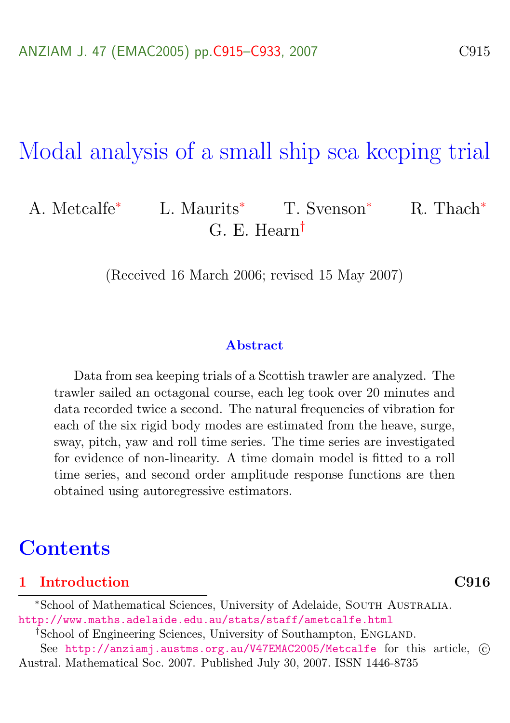# Modal analysis of a small ship sea keeping trial

### A. Metcalfe<sup>∗</sup> L. Maurits<sup>∗</sup> T. Svenson<sup>∗</sup> R. Thach<sup>∗</sup> G. E. Hearn†

(Received 16 March 2006; revised 15 May 2007)

#### Abstract

Data from sea keeping trials of a Scottish trawler are analyzed. The trawler sailed an octagonal course, each leg took over 20 minutes and data recorded twice a second. The natural frequencies of vibration for each of the six rigid body modes are estimated from the heave, surge, sway, pitch, yaw and roll time series. The time series are investigated for evidence of non-linearity. A time domain model is fitted to a roll time series, and second order amplitude response functions are then obtained using autoregressive estimators.

### **Contents**

#### [1 Introduction](#page-1-0) C916

<sup>†</sup>School of Engineering Sciences, University of Southampton, ENGLAND.

See <http://anziamj.austms.org.au/V47EMAC2005/Metcalfe> for this article,  $\odot$ Austral. Mathematical Soc. 2007. Published July 30, 2007. ISSN 1446-8735

<sup>∗</sup>School of Mathematical Sciences, University of Adelaide, South Australia. <http://www.maths.adelaide.edu.au/stats/staff/ametcalfe.html>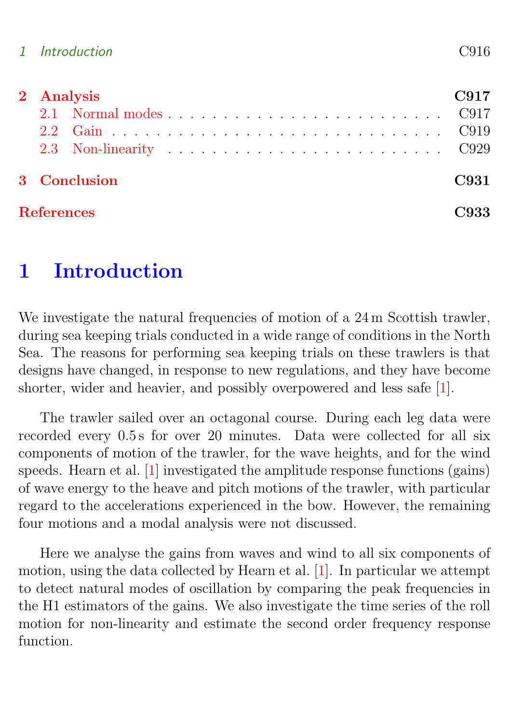<span id="page-1-1"></span>

|                   | 2 Analysis   |  |  |  |  |  |  |  |
|-------------------|--------------|--|--|--|--|--|--|--|
|                   |              |  |  |  |  |  |  |  |
|                   |              |  |  |  |  |  |  |  |
|                   |              |  |  |  |  |  |  |  |
|                   | 3 Conclusion |  |  |  |  |  |  |  |
| <b>References</b> |              |  |  |  |  |  |  |  |

## <span id="page-1-0"></span>1 Introduction

We investigate the natural frequencies of motion of a 24 m Scottish trawler, during sea keeping trials conducted in a wide range of conditions in the North Sea. The reasons for performing sea keeping trials on these trawlers is that designs have changed, in response to new regulations, and they have become shorter, wider and heavier, and possibly overpowered and less safe [\[1\]](#page-18-1).

The trawler sailed over an octagonal course. During each leg data were recorded every 0.5 s for over 20 minutes. Data were collected for all six components of motion of the trawler, for the wave heights, and for the wind speeds. Hearn et al. [\[1\]](#page-18-1) investigated the amplitude response functions (gains) of wave energy to the heave and pitch motions of the trawler, with particular regard to the accelerations experienced in the bow. However, the remaining four motions and a modal analysis were not discussed.

Here we analyse the gains from waves and wind to all six components of motion, using the data collected by Hearn et al. [\[1\]](#page-18-1). In particular we attempt to detect natural modes of oscillation by comparing the peak frequencies in the H1 estimators of the gains. We also investigate the time series of the roll motion for non-linearity and estimate the second order frequency response function.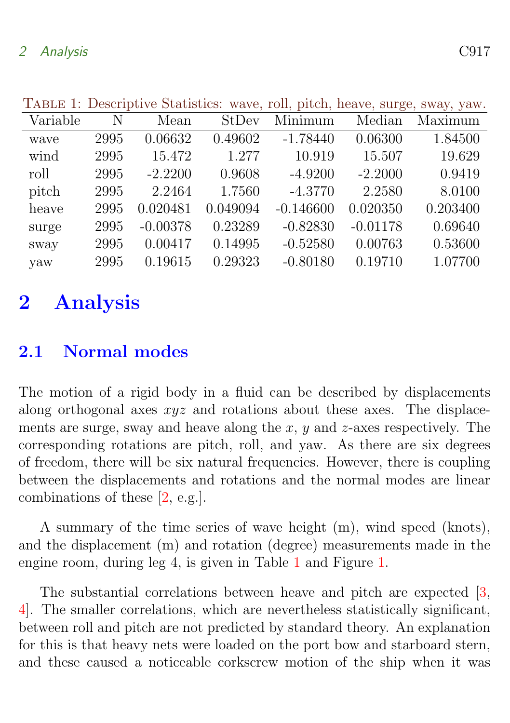| Thomas T. Deportpute Deachotes. Wave, Ton, prech, heave, burge, bway, yaw. |      |            |          |             |            |          |  |  |  |
|----------------------------------------------------------------------------|------|------------|----------|-------------|------------|----------|--|--|--|
| Variable                                                                   | N    | Mean       | StDev    | Minimum     | Median     | Maximum  |  |  |  |
| wave                                                                       | 2995 | 0.06632    | 0.49602  | $-1.78440$  | 0.06300    | 1.84500  |  |  |  |
| wind                                                                       | 2995 | 15.472     | 1.277    | 10.919      | 15.507     | 19.629   |  |  |  |
| roll                                                                       | 2995 | $-2.2200$  | 0.9608   | $-4.9200$   | $-2.2000$  | 0.9419   |  |  |  |
| pitch                                                                      | 2995 | 2.2464     | 1.7560   | $-4.3770$   | 2.2580     | 8.0100   |  |  |  |
| heave                                                                      | 2995 | 0.020481   | 0.049094 | $-0.146600$ | 0.020350   | 0.203400 |  |  |  |
| surge                                                                      | 2995 | $-0.00378$ | 0.23289  | $-0.82830$  | $-0.01178$ | 0.69640  |  |  |  |
| sway                                                                       | 2995 | 0.00417    | 0.14995  | $-0.52580$  | 0.00763    | 0.53600  |  |  |  |
| yaw                                                                        | 2995 | 0.19615    | 0.29323  | $-0.80180$  | 0.19710    | 1.07700  |  |  |  |
|                                                                            |      |            |          |             |            |          |  |  |  |

<span id="page-2-3"></span><span id="page-2-2"></span>TABLE 1: Descriptive Statistics: wave, roll, pitch, heave, surge, sway, yaw.

## <span id="page-2-0"></span>2 Analysis

### <span id="page-2-1"></span>2.1 Normal modes

The motion of a rigid body in a fluid can be described by displacements along orthogonal axes  $xyz$  and rotations about these axes. The displacements are surge, sway and heave along the x,  $y$  and  $z$ -axes respectively. The corresponding rotations are pitch, roll, and yaw. As there are six degrees of freedom, there will be six natural frequencies. However, there is coupling between the displacements and rotations and the normal modes are linear combinations of these [\[2,](#page-18-2) e.g.].

A summary of the time series of wave height (m), wind speed (knots), and the displacement (m) and rotation (degree) measurements made in the engine room, during leg 4, is given in Table [1](#page-2-2) and Figure [1.](#page-3-0)

The substantial correlations between heave and pitch are expected [\[3,](#page-18-3) [4\]](#page-18-4). The smaller correlations, which are nevertheless statistically significant, between roll and pitch are not predicted by standard theory. An explanation for this is that heavy nets were loaded on the port bow and starboard stern, and these caused a noticeable corkscrew motion of the ship when it was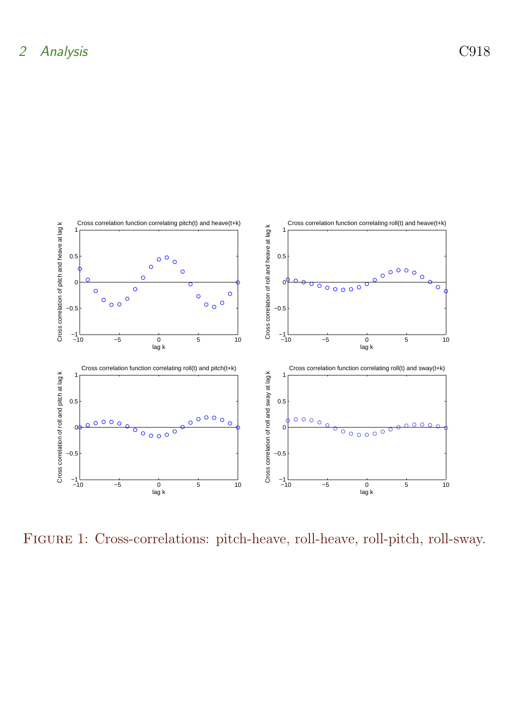

<span id="page-3-0"></span>Figure 1: Cross-correlations: pitch-heave, roll-heave, roll-pitch, roll-sway.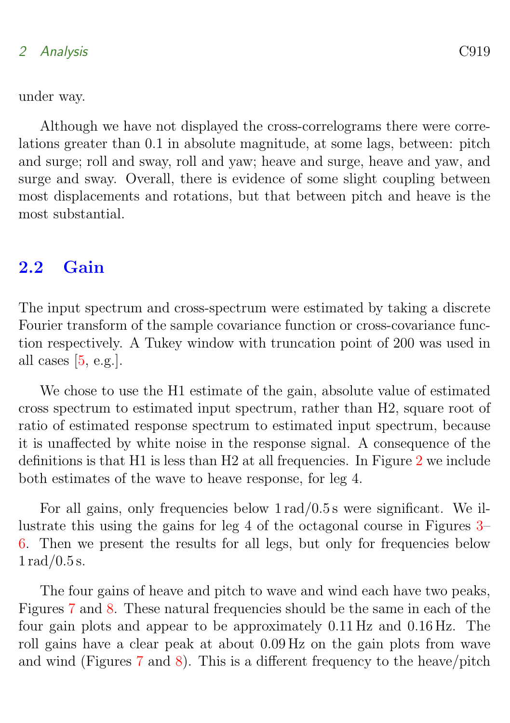#### <span id="page-4-1"></span>2 Analysis C919

under way.

Although we have not displayed the cross-correlograms there were correlations greater than 0.1 in absolute magnitude, at some lags, between: pitch and surge; roll and sway, roll and yaw; heave and surge, heave and yaw, and surge and sway. Overall, there is evidence of some slight coupling between most displacements and rotations, but that between pitch and heave is the most substantial.

### <span id="page-4-0"></span>2.2 Gain

The input spectrum and cross-spectrum were estimated by taking a discrete Fourier transform of the sample covariance function or cross-covariance function respectively. A Tukey window with truncation point of 200 was used in all cases  $[5, e.g.]$  $[5, e.g.]$ .

We chose to use the H1 estimate of the gain, absolute value of estimated cross spectrum to estimated input spectrum, rather than H2, square root of ratio of estimated response spectrum to estimated input spectrum, because it is unaffected by white noise in the response signal. A consequence of the definitions is that H1 is less than H2 at all frequencies. In Figure [2](#page-5-0) we include both estimates of the wave to heave response, for leg 4.

For all gains, only frequencies below 1 rad/0.5 s were significant. We illustrate this using the gains for leg 4 of the octagonal course in Figures [3–](#page-6-0) [6.](#page-9-0) Then we present the results for all legs, but only for frequencies below  $1 \,\mathrm{rad}/0.5 \,\mathrm{s}$ .

The four gains of heave and pitch to wave and wind each have two peaks, Figures [7](#page-10-1) and [8.](#page-11-0) These natural frequencies should be the same in each of the four gain plots and appear to be approximately 0.11 Hz and 0.16 Hz. The roll gains have a clear peak at about 0.09 Hz on the gain plots from wave and wind (Figures [7](#page-10-1) and [8\)](#page-11-0). This is a different frequency to the heave/pitch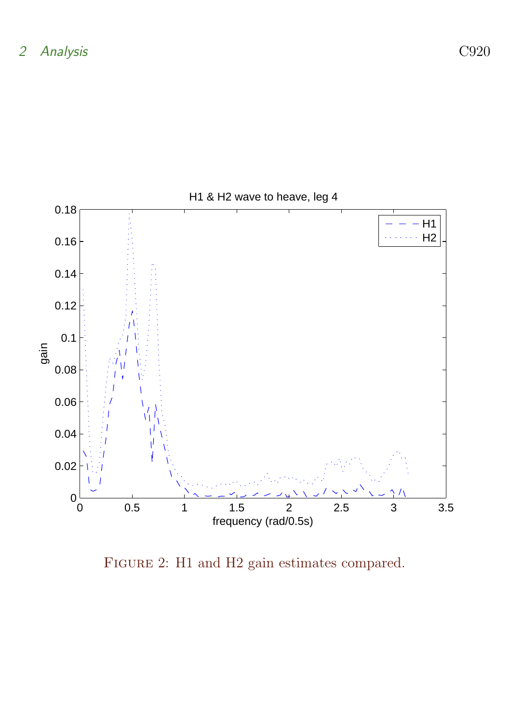

<span id="page-5-0"></span>FIGURE 2: H1 and H2 gain estimates compared.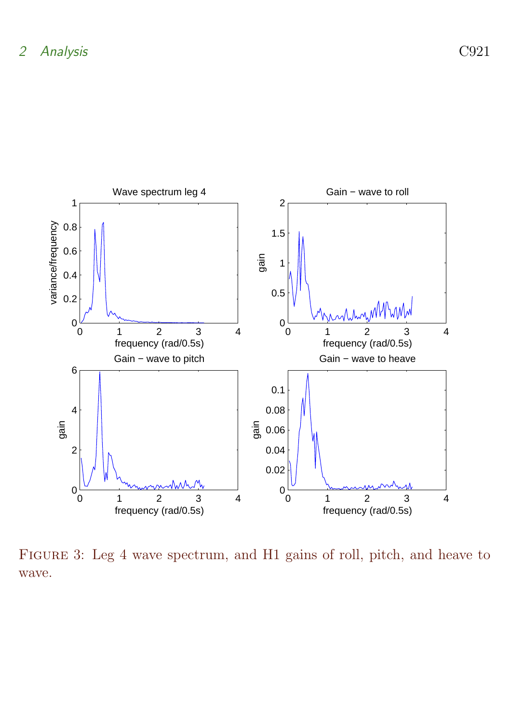

<span id="page-6-0"></span>Figure 3: Leg 4 wave spectrum, and H1 gains of roll, pitch, and heave to wave.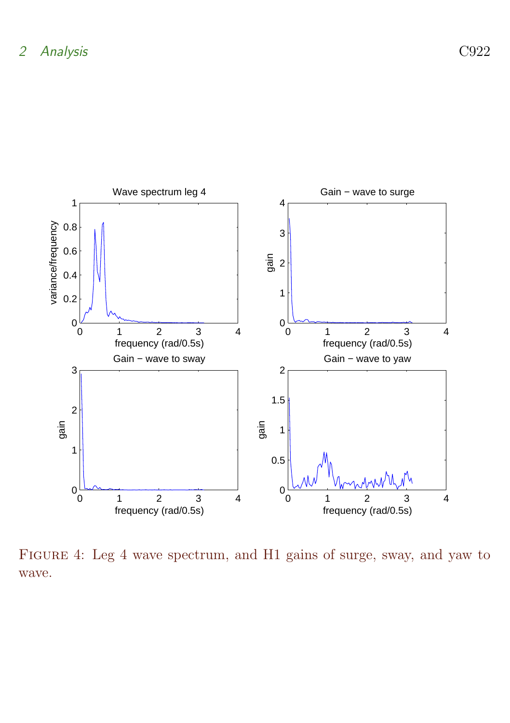

Figure 4: Leg 4 wave spectrum, and H1 gains of surge, sway, and yaw to wave.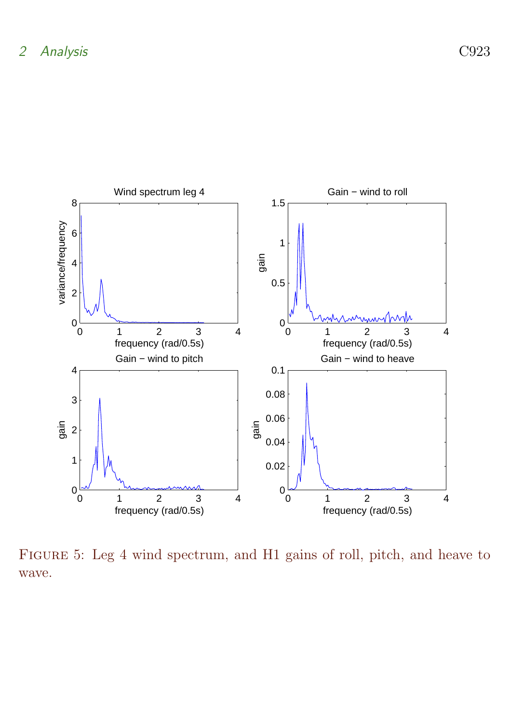

Figure 5: Leg 4 wind spectrum, and H1 gains of roll, pitch, and heave to wave.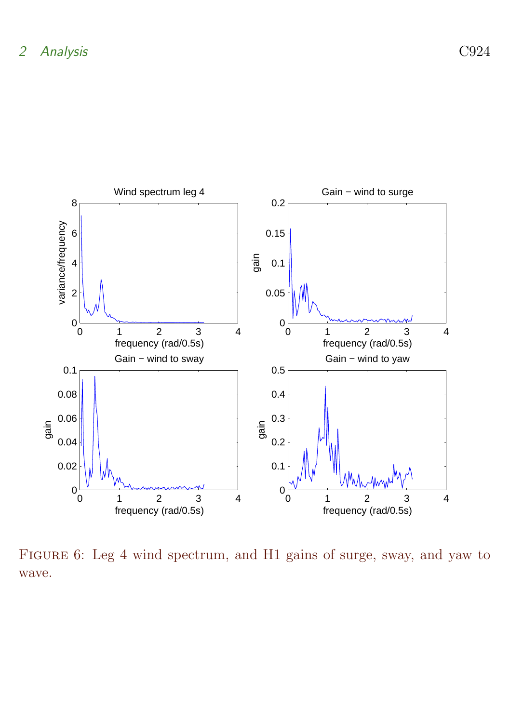

<span id="page-9-0"></span>Figure 6: Leg 4 wind spectrum, and H1 gains of surge, sway, and yaw to wave.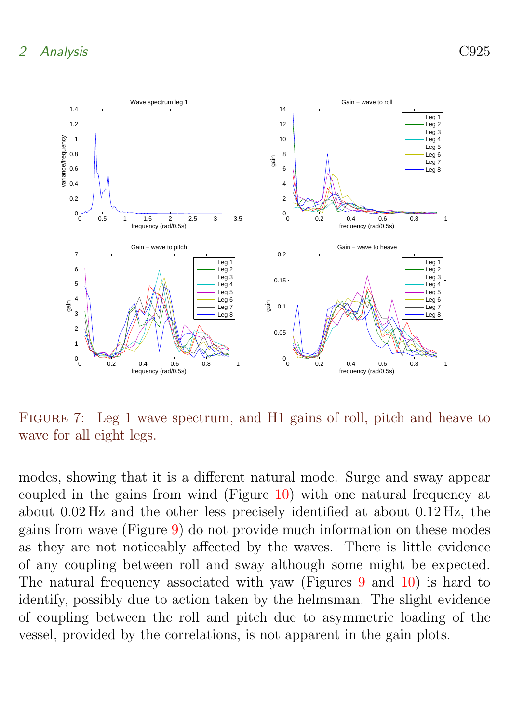

<span id="page-10-1"></span>FIGURE 7: Leg 1 wave spectrum, and H1 gains of roll, pitch and heave to wave for all eight legs.

<span id="page-10-0"></span>modes, showing that it is a different natural mode. Surge and sway appear coupled in the gains from wind (Figure [10\)](#page-13-0) with one natural frequency at about 0.02 Hz and the other less precisely identified at about 0.12 Hz, the gains from wave (Figure [9\)](#page-12-0) do not provide much information on these modes as they are not noticeably affected by the waves. There is little evidence of any coupling between roll and sway although some might be expected. The natural frequency associated with yaw (Figures [9](#page-12-0) and [10\)](#page-13-0) is hard to identify, possibly due to action taken by the helmsman. The slight evidence of coupling between the roll and pitch due to asymmetric loading of the vessel, provided by the correlations, is not apparent in the gain plots.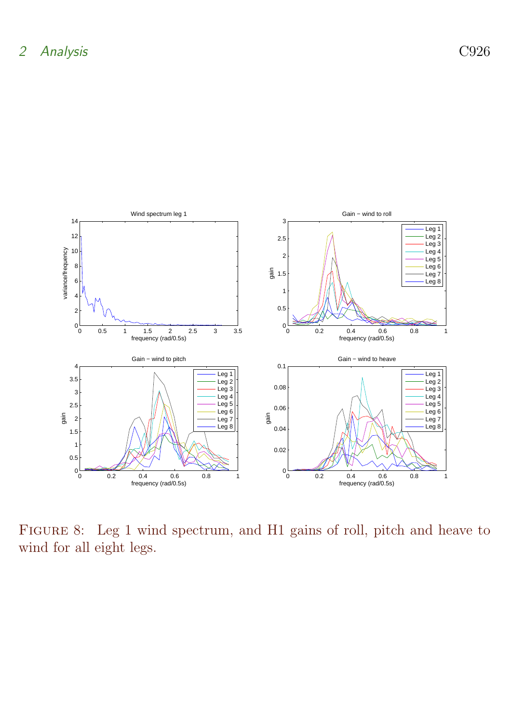

<span id="page-11-0"></span>Figure 8: Leg 1 wind spectrum, and H1 gains of roll, pitch and heave to wind for all eight legs.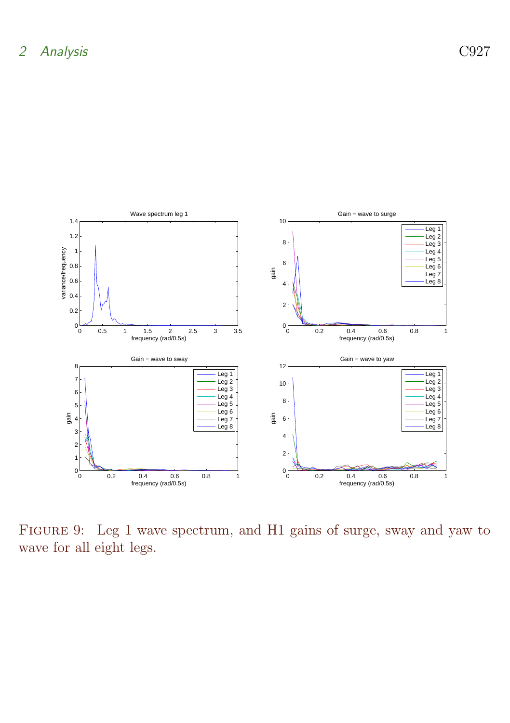

<span id="page-12-0"></span>Figure 9: Leg 1 wave spectrum, and H1 gains of surge, sway and yaw to wave for all eight legs.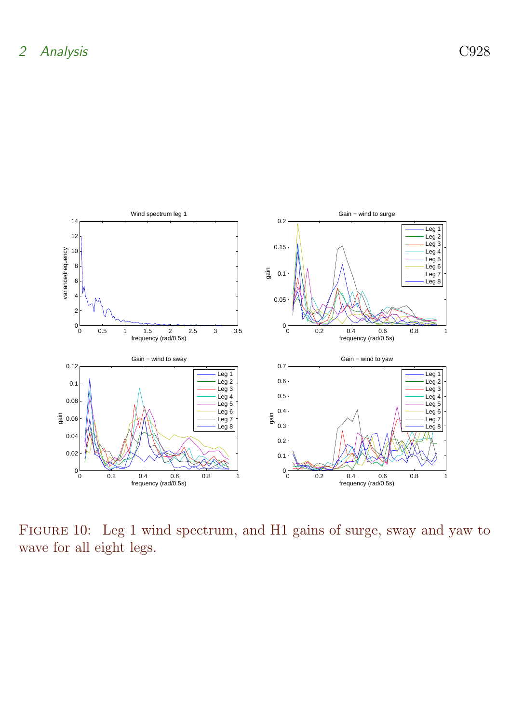

<span id="page-13-0"></span>Figure 10: Leg 1 wind spectrum, and H1 gains of surge, sway and yaw to wave for all eight legs.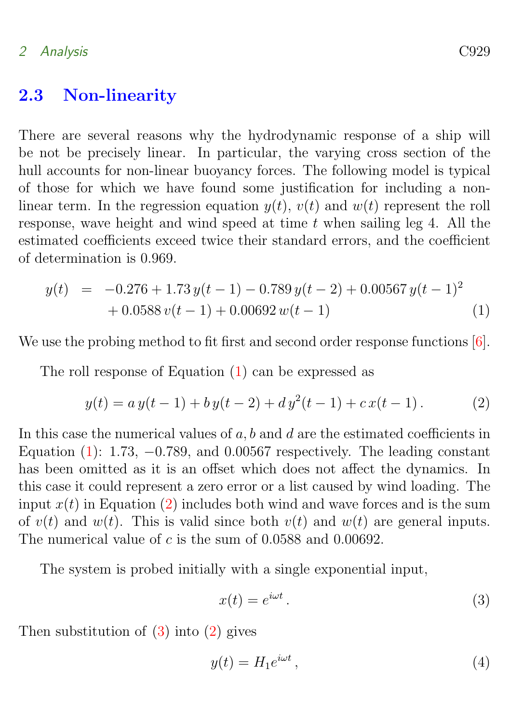### <span id="page-14-3"></span>2.3 Non-linearity

There are several reasons why the hydrodynamic response of a ship will be not be precisely linear. In particular, the varying cross section of the hull accounts for non-linear buoyancy forces. The following model is typical of those for which we have found some justification for including a nonlinear term. In the regression equation  $y(t)$ ,  $v(t)$  and  $w(t)$  represent the roll response, wave height and wind speed at time  $t$  when sailing leg 4. All the estimated coefficients exceed twice their standard errors, and the coefficient of determination is 0.969.

<span id="page-14-0"></span>
$$
y(t) = -0.276 + 1.73 y(t-1) - 0.789 y(t-2) + 0.00567 y(t-1)2
$$
  
+ 0.0588 v(t-1) + 0.00692 w(t-1) (1)

We use the probing method to fit first and second order response functions [\[6\]](#page-18-6).

The roll response of Equation [\(1\)](#page-14-0) can be expressed as

<span id="page-14-1"></span>
$$
y(t) = a y(t-1) + b y(t-2) + d y2(t-1) + c x(t-1).
$$
 (2)

In this case the numerical values of  $a, b$  and  $d$  are the estimated coefficients in Equation  $(1)$ : 1.73,  $-0.789$ , and 0.00567 respectively. The leading constant has been omitted as it is an offset which does not affect the dynamics. In this case it could represent a zero error or a list caused by wind loading. The input  $x(t)$  in Equation [\(2\)](#page-14-1) includes both wind and wave forces and is the sum of  $v(t)$  and  $w(t)$ . This is valid since both  $v(t)$  and  $w(t)$  are general inputs. The numerical value of  $c$  is the sum of 0.0588 and 0.00692.

The system is probed initially with a single exponential input,

<span id="page-14-2"></span>
$$
x(t) = e^{i\omega t}.
$$
 (3)

Then substitution of  $(3)$  into  $(2)$  gives

$$
y(t) = H_1 e^{i\omega t},\tag{4}
$$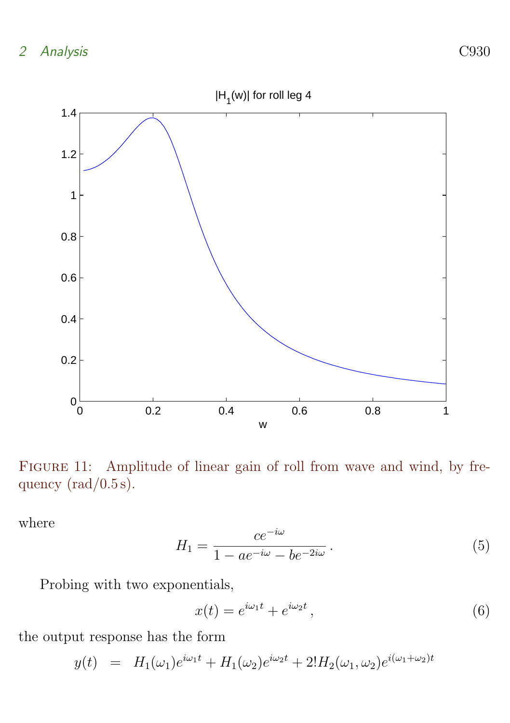2 Analysis C930



<span id="page-15-0"></span>FIGURE 11: Amplitude of linear gain of roll from wave and wind, by frequency  $\text{(rad/0.5 s)}$ .

where

$$
H_1 = \frac{ce^{-i\omega}}{1 - ae^{-i\omega} - be^{-2i\omega}}.
$$
\n<sup>(5)</sup>

Probing with two exponentials,

$$
x(t) = e^{i\omega_1 t} + e^{i\omega_2 t}, \qquad (6)
$$

the output response has the form

 $y(t) = H_1(\omega_1)e^{i\omega_1 t} + H_1(\omega_2)e^{i\omega_2 t} + 2H_2(\omega_1, \omega_2)e^{i(\omega_1 + \omega_2)t}$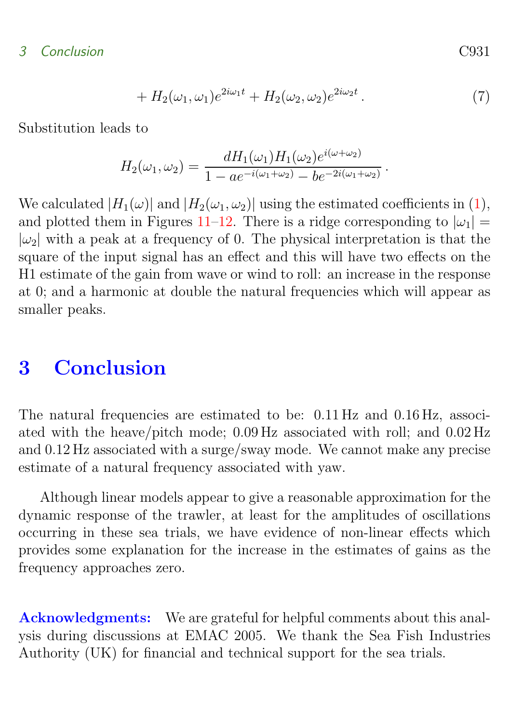### 3 Conclusion C931

+ 
$$
H_2(\omega_1, \omega_1)e^{2i\omega_1 t}
$$
 +  $H_2(\omega_2, \omega_2)e^{2i\omega_2 t}$ . (7)

Substitution leads to

$$
H_2(\omega_1, \omega_2) = \frac{dH_1(\omega_1)H_1(\omega_2)e^{i(\omega + \omega_2)}}{1 - ae^{-i(\omega_1 + \omega_2)} - be^{-2i(\omega_1 + \omega_2)}}.
$$

We calculated  $|H_1(\omega)|$  and  $|H_2(\omega_1, \omega_2)|$  using the estimated coefficients in [\(1\)](#page-14-0), and plotted them in Figures [11–](#page-15-0)[12.](#page-17-0) There is a ridge corresponding to  $|\omega_1|$  =  $|\omega_2|$  with a peak at a frequency of 0. The physical interpretation is that the square of the input signal has an effect and this will have two effects on the H1 estimate of the gain from wave or wind to roll: an increase in the response at 0; and a harmonic at double the natural frequencies which will appear as smaller peaks.

### <span id="page-16-0"></span>3 Conclusion

The natural frequencies are estimated to be: 0.11 Hz and 0.16 Hz, associated with the heave/pitch mode; 0.09 Hz associated with roll; and 0.02 Hz and 0.12 Hz associated with a surge/sway mode. We cannot make any precise estimate of a natural frequency associated with yaw.

Although linear models appear to give a reasonable approximation for the dynamic response of the trawler, at least for the amplitudes of oscillations occurring in these sea trials, we have evidence of non-linear effects which provides some explanation for the increase in the estimates of gains as the frequency approaches zero.

Acknowledgments: We are grateful for helpful comments about this analysis during discussions at EMAC 2005. We thank the Sea Fish Industries Authority (UK) for financial and technical support for the sea trials.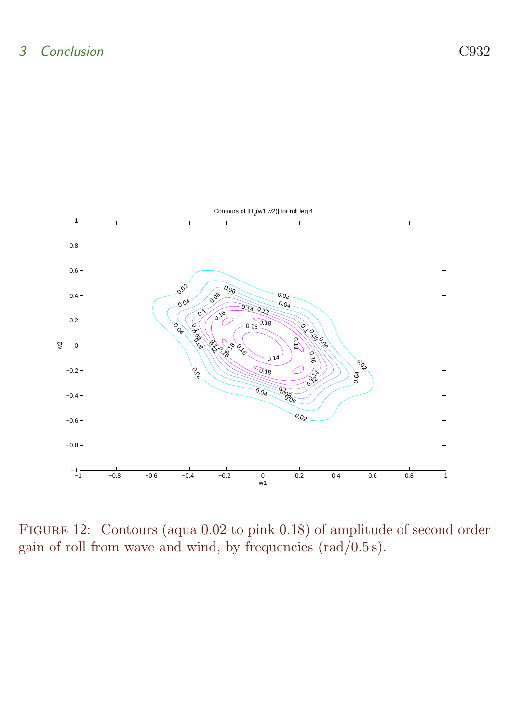

<span id="page-17-0"></span>Figure 12: Contours (aqua 0.02 to pink 0.18) of amplitude of second order gain of roll from wave and wind, by frequencies  $\text{(rad/0.5 s)}$ .